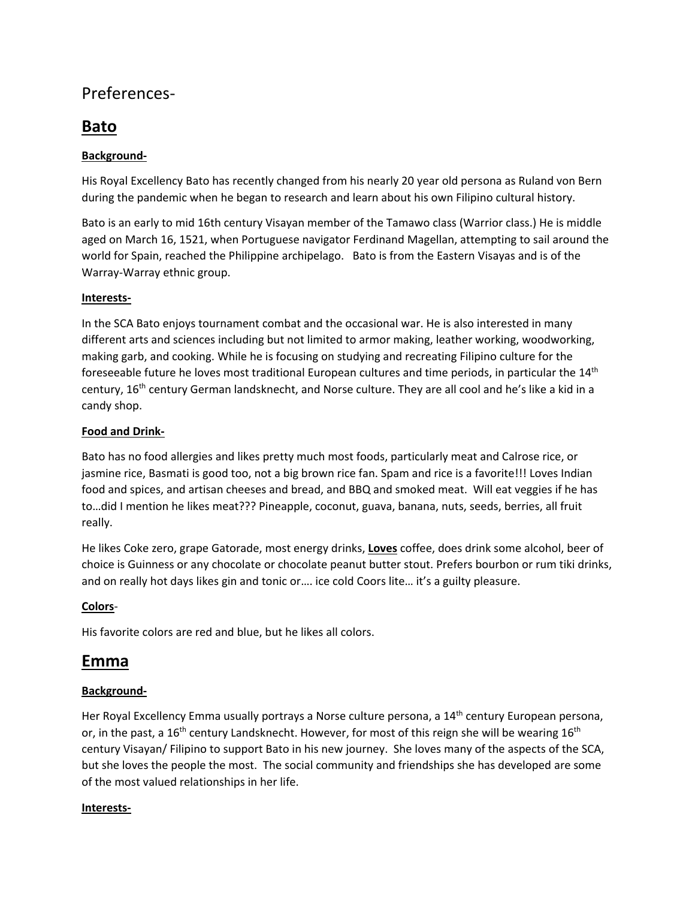## Preferences-

# **Bato**

### **Background-**

His Royal Excellency Bato has recently changed from his nearly 20 year old persona as Ruland von Bern during the pandemic when he began to research and learn about his own Filipino cultural history.

Bato is an early to mid 16th century Visayan member of the Tamawo class (Warrior class.) He is middle aged on March 16, 1521, when Portuguese navigator Ferdinand Magellan, attempting to sail around the world for Spain, reached the Philippine archipelago. Bato is from the Eastern Visayas and is of the Warray-Warray ethnic group.

### **Interests-**

In the SCA Bato enjoys tournament combat and the occasional war. He is also interested in many different arts and sciences including but not limited to armor making, leather working, woodworking, making garb, and cooking. While he is focusing on studying and recreating Filipino culture for the foreseeable future he loves most traditional European cultures and time periods, in particular the 14<sup>th</sup> century, 16th century German landsknecht, and Norse culture. They are all cool and he's like a kid in a candy shop.

### **Food and Drink-**

Bato has no food allergies and likes pretty much most foods, particularly meat and Calrose rice, or jasmine rice, Basmati is good too, not a big brown rice fan. Spam and rice is a favorite!!! Loves Indian food and spices, and artisan cheeses and bread, and BBQ and smoked meat. Will eat veggies if he has to…did I mention he likes meat??? Pineapple, coconut, guava, banana, nuts, seeds, berries, all fruit really.

He likes Coke zero, grape Gatorade, most energy drinks, **Loves** coffee, does drink some alcohol, beer of choice is Guinness or any chocolate or chocolate peanut butter stout. Prefers bourbon or rum tiki drinks, and on really hot days likes gin and tonic or…. ice cold Coors lite… it's a guilty pleasure.

### **Colors**-

His favorite colors are red and blue, but he likes all colors.

### **Emma**

### **Background-**

Her Royal Excellency Emma usually portrays a Norse culture persona, a 14<sup>th</sup> century European persona, or, in the past, a 16<sup>th</sup> century Landsknecht. However, for most of this reign she will be wearing 16<sup>th</sup> century Visayan/ Filipino to support Bato in his new journey. She loves many of the aspects of the SCA, but she loves the people the most. The social community and friendships she has developed are some of the most valued relationships in her life.

#### **Interests-**